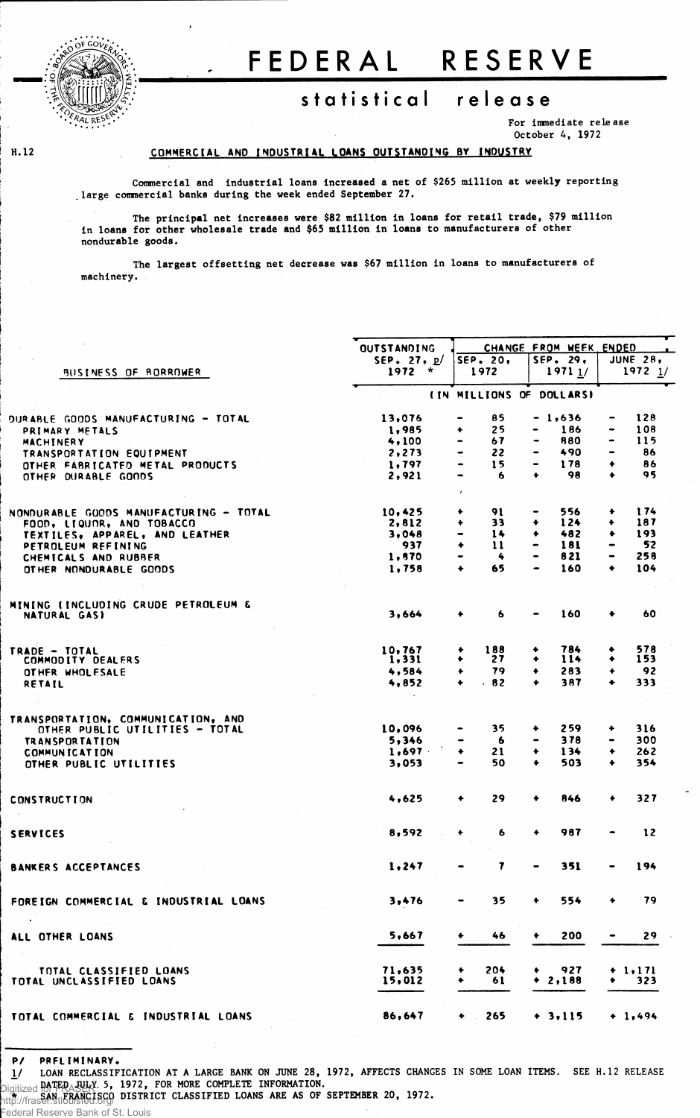

**H. 12**

## . FEDERA L RESERV E

## statistical release

**For immediate release October 4, 1972**

## **COMMERCIA L A ND INDUSTRIA L LOAN S OUTSTANDIN G BY INDUSTRY**

**Commercial and industrial loans increased a net of \$265 million at weekly reporting . large commercial banks during the week ended September 27.**

**The principal net increases were \$82 million in loans for retail trade, \$79 million in loans for other wholesale trade and \$65 million in loans to manufacturers of other nondurable goods.**

**The largest offsetting net decrease was \$67 million in loans to manufacturers of machinery.** 

|                                                            | <b>OUTSTANDING</b>        |                                                                                                                                                         | CHANGE FROM WEEK ENDED                                                                                                                        |                                     |  |  |
|------------------------------------------------------------|---------------------------|---------------------------------------------------------------------------------------------------------------------------------------------------------|-----------------------------------------------------------------------------------------------------------------------------------------------|-------------------------------------|--|--|
| BUSINESS OF BORROWER                                       | SEP. 27, $p/$<br>$1972 *$ | SEP. 20,<br>1972                                                                                                                                        | SEP. 29,<br>19711/                                                                                                                            | <b>JUNE 28,</b><br>$1972$ $1/$      |  |  |
|                                                            |                           | (IN MILLIONS OF DOLLARS)                                                                                                                                |                                                                                                                                               |                                     |  |  |
| DURABLE GOODS MANUFACTURING – TOTAL                        | 13,076                    | 85<br>$\hbox{\small -}$                                                                                                                                 | $-1,636$                                                                                                                                      | 128<br>-                            |  |  |
| PRIMARY METALS                                             | 1,985                     | 25<br>۰                                                                                                                                                 | 186<br>$\qquad \qquad \blacksquare$                                                                                                           | 108<br>$\qquad \qquad \blacksquare$ |  |  |
| MACHINERY                                                  | 4,100                     | 67<br>$\qquad \qquad \blacksquare$                                                                                                                      | 880                                                                                                                                           | 115<br>$\blacksquare$               |  |  |
|                                                            | 2, 273                    | 22<br>$\hskip1.6pt\hskip1.6pt\hskip1.6pt\hskip1.6pt\hskip1.6pt\hskip1.6pt\hskip1.6pt\hskip1.6pt\hskip1.6pt\hskip1.6pt\hskip1.6pt\hskip1.6pt\hskip1.6pt$ | 490                                                                                                                                           | 86<br>$\bullet$                     |  |  |
| TRANSPORTATION EQUIPMENT                                   | 1,797                     | 15                                                                                                                                                      | 178<br>$\blacksquare$                                                                                                                         | 86<br>٠                             |  |  |
| OTHER FABRICATED METAL PRODUCTS<br>OTHER DURABLE GOODS     | 2,921                     | 6<br>$\hskip 1.5cm \bullet$                                                                                                                             | 98<br>٠                                                                                                                                       | 95<br>٠                             |  |  |
|                                                            |                           | $\mathbf{r}$                                                                                                                                            |                                                                                                                                               |                                     |  |  |
| NONDURABLE GOODS MANUFACTURING - TOTAL                     | 10,425                    | 91<br>٠                                                                                                                                                 | 556                                                                                                                                           | 174<br>۰                            |  |  |
| FOOD, LIQUOR, AND TOBACCO                                  | 2,812                     | 33<br>٠                                                                                                                                                 | 124<br>$\ddotmark$                                                                                                                            | 187<br>٠                            |  |  |
| TEXTILES, APPAREL, AND LEATHER                             | 3,048                     | 14<br>$\qquad \qquad \blacksquare$                                                                                                                      | 482<br>۰                                                                                                                                      | 193<br>٠                            |  |  |
| PETROLEUM REFINING                                         | 937                       | $\ddot{\bullet}$<br>$\mathbf{11}$                                                                                                                       | 181<br>$\hskip1.6pt\hskip1.6pt\hskip1.6pt\hskip1.6pt\hskip1.6pt\hskip1.6pt\hskip1.6pt\hskip1.6pt\hskip1.6pt\hskip1.6pt\hskip1.6pt\hskip1.6pt$ | 52<br>$\bullet$                     |  |  |
| CHEMICALS AND RUBBER                                       | 1,570                     | 4                                                                                                                                                       | 821<br>$\bullet$                                                                                                                              | 258<br>۰.                           |  |  |
| OTHER NONDURABLE GOODS                                     | 1,758                     | 65<br>$\ddot{\phantom{1}}$                                                                                                                              | 160                                                                                                                                           | 104<br>٠                            |  |  |
|                                                            |                           |                                                                                                                                                         |                                                                                                                                               |                                     |  |  |
| MINING (INCLUDING CRUDE PETROLEUM &<br><b>NATURAL GASI</b> | 3,664                     | 6                                                                                                                                                       | 160                                                                                                                                           | 60                                  |  |  |
|                                                            |                           |                                                                                                                                                         |                                                                                                                                               |                                     |  |  |
| TRADE - TOTAL                                              | 10,767                    | 188<br>۰                                                                                                                                                | 784<br>٠                                                                                                                                      | 578<br>٠                            |  |  |
| COMMODITY DEALERS                                          | 1,331                     | 27<br>۰                                                                                                                                                 | 114<br>٠                                                                                                                                      | 153<br>٠                            |  |  |
| OTHER WHOLESALE                                            | 4,584                     | 79<br>۰                                                                                                                                                 | 283<br>٠                                                                                                                                      | 92<br>٠                             |  |  |
| RETAIL                                                     | 4,852                     | .82<br>$\bullet$                                                                                                                                        | 387<br>٠                                                                                                                                      | 333<br>٠                            |  |  |
| TRANSPORTATION, COMMUNICATION, AND                         |                           |                                                                                                                                                         |                                                                                                                                               |                                     |  |  |
| OTHER PUBLIC UTILITIES - TOTAL                             | 10,096                    | 35<br>$\qquad \qquad \blacksquare$                                                                                                                      | 259<br>۰                                                                                                                                      | 316<br>٠                            |  |  |
| <b>TRANSPORTATION</b>                                      | 5,346                     | 6                                                                                                                                                       | 378                                                                                                                                           | 300                                 |  |  |
| <b>COMMUNICATION</b>                                       | 1,697                     | ٠<br>21                                                                                                                                                 | $\ddot{\phantom{1}}$<br>134                                                                                                                   | 262<br>٠                            |  |  |
| OTHER PUBLIC UTILITIES                                     | 3,053                     | 50<br>$\hbox{\small -}$                                                                                                                                 | 503<br>٠                                                                                                                                      | 354<br>۰                            |  |  |
|                                                            |                           |                                                                                                                                                         |                                                                                                                                               |                                     |  |  |
| <b>CONSTRUCTION</b>                                        | 4,625                     | 29<br>٠                                                                                                                                                 | 846                                                                                                                                           | 327<br>٠                            |  |  |
| <b>SERVICES</b>                                            | 8,592                     | 6<br>۰                                                                                                                                                  | 987<br>٠                                                                                                                                      | 12                                  |  |  |
|                                                            |                           |                                                                                                                                                         |                                                                                                                                               |                                     |  |  |
| <b>BANKERS ACCEPTANCES</b>                                 | 1,247                     | 7                                                                                                                                                       | 351                                                                                                                                           | 194                                 |  |  |
| FOREIGN COMMERCIAL & INDUSTRIAL LOANS                      | 3,476                     | 35                                                                                                                                                      | 554                                                                                                                                           | 79                                  |  |  |
| ALL OTHER LOANS                                            | 5,667                     | 46                                                                                                                                                      | 200                                                                                                                                           | 29                                  |  |  |
|                                                            |                           |                                                                                                                                                         |                                                                                                                                               |                                     |  |  |
| TOTAL CLASSIFIED LOANS                                     | 71,635                    | 204                                                                                                                                                     | 927                                                                                                                                           | $+ 1, 171$                          |  |  |
| TOTAL UNCLASSIFIED LOANS                                   | 15,012                    | 61                                                                                                                                                      | $+ 2,188$                                                                                                                                     | 323<br>٠                            |  |  |
| TOTAL COMMERCIAL & INDUSTRIAL LOANS                        | 86,647                    | 265<br>$\bullet$                                                                                                                                        | $+ 3,115$                                                                                                                                     | $+ 1,494$                           |  |  |
|                                                            |                           |                                                                                                                                                         |                                                                                                                                               |                                     |  |  |

**P/ PRELIMINARY .**

1/ LOAN RECLASSIFICATION AT A LARGE BANK ON JUNE 28, 1972, AFFECTS CHANGES IN SOME LOAN ITEMS. SEE H.12 RELEASE **DATED JULY. 5, 1972, FOR MORE COMPLETE INFORMATION.**

**\* SAN FRANCISCO DISTRICT CLASSIFIED LOANS ARE AS OF SEPTEMBER 20, 1972.** Digitized for FRASER http://fraser.stlouisfed.org/

Federal Reserve Bank of St. Louis